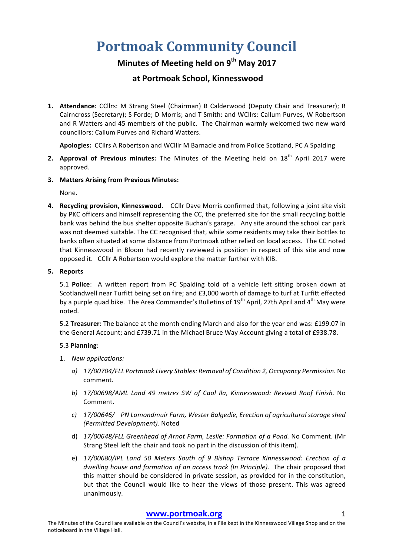## **Portmoak Community Council**

### **Minutes of Meeting held on 9th May 2017**

### **at Portmoak School, Kinnesswood**

**1. Attendance:** CCllrs: M Strang Steel (Chairman) B Calderwood (Deputy Chair and Treasurer); R Cairncross (Secretary); S Forde; D Morris; and T Smith: and WCllrs: Callum Purves, W Robertson and R Watters and 45 members of the public. The Chairman warmly welcomed two new ward councillors: Callum Purves and Richard Watters.

Apologies: CCllrs A Robertson and WClllr M Barnacle and from Police Scotland, PC A Spalding

- **2. Approval of Previous minutes:** The Minutes of the Meeting held on 18<sup>th</sup> April 2017 were approved.
- **3. Matters Arising from Previous Minutes:**

None.

**4.** Recycling provision, Kinnesswood. CCllr Dave Morris confirmed that, following a joint site visit by PKC officers and himself representing the CC, the preferred site for the small recycling bottle bank was behind the bus shelter opposite Buchan's garage. Any site around the school car park was not deemed suitable. The CC recognised that, while some residents may take their bottles to banks often situated at some distance from Portmoak other relied on local access. The CC noted that Kinnesswood in Bloom had recently reviewed is position in respect of this site and now opposed it. CCllr A Robertson would explore the matter further with KIB.

#### **5. Reports**

5.1 **Police**: A written report from PC Spalding told of a vehicle left sitting broken down at Scotlandwell near Turfitt being set on fire; and £3,000 worth of damage to turf at Turfitt effected by a purple quad bike. The Area Commander's Bulletins of  $19<sup>th</sup>$  April, 27th April and  $4<sup>th</sup>$  May were noted. 

5.2 **Treasurer**: The balance at the month ending March and also for the year end was: £199.07 in the General Account; and £739.71 in the Michael Bruce Way Account giving a total of £938.78.

#### 5.3 **Planning**:

- 1. *New applications:*
	- *a) 17/00704/FLL Portmoak Livery Stables: Removal of Condition 2, Occupancy Permission.* No comment.
	- *b) 17/00698/AML Land 49 metres SW of Caol Ila, Kinnesswood: Revised Roof Finish.* No Comment.
	- *c) 17/00646/ PN Lomondmuir Farm, Wester Balgedie, Erection of agricultural storage shed (Permitted Development).* Noted
	- d) 17/00648/FLL Greenhead of Arnot Farm, Leslie: Formation of a Pond. No Comment. (Mr Strang Steel left the chair and took no part in the discussion of this item).
	- e) 17/00680/IPL Land 50 Meters South of 9 Bishop Terrace Kinnesswood: Erection of a *dwelling house and formation of an access track (In Principle).* The chair proposed that this matter should be considered in private session, as provided for in the constitution, but that the Council would like to hear the views of those present. This was agreed unanimously.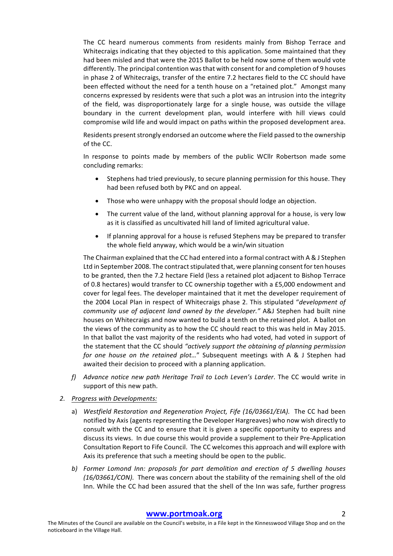The CC heard numerous comments from residents mainly from Bishop Terrace and Whitecraigs indicating that they objected to this application. Some maintained that they had been misled and that were the 2015 Ballot to be held now some of them would vote differently. The principal contention was that with consent for and completion of 9 houses in phase 2 of Whitecraigs, transfer of the entire 7.2 hectares field to the CC should have been effected without the need for a tenth house on a "retained plot." Amongst many concerns expressed by residents were that such a plot was an intrusion into the integrity of the field, was disproportionately large for a single house, was outside the village boundary in the current development plan, would interfere with hill views could compromise wild life and would impact on paths within the proposed development area.

Residents present strongly endorsed an outcome where the Field passed to the ownership of the CC.

In response to points made by members of the public WCllr Robertson made some concluding remarks:

- Stephens had tried previously, to secure planning permission for this house. They had been refused both by PKC and on appeal.
- Those who were unhappy with the proposal should lodge an objection.
- The current value of the land, without planning approval for a house, is very low as it is classified as uncultivated hill land of limited agricultural value.
- If planning approval for a house is refused Stephens may be prepared to transfer the whole field anyway, which would be a win/win situation

The Chairman explained that the CC had entered into a formal contract with A & J Stephen Ltd in September 2008. The contract stipulated that, were planning consent for ten houses to be granted, then the 7.2 hectare Field (less a retained plot adjacent to Bishop Terrace of 0.8 hectares) would transfer to CC ownership together with a £5,000 endowment and cover for legal fees. The developer maintained that it met the developer requirement of the 2004 Local Plan in respect of Whitecraigs phase 2. This stipulated "*development of community* use of adjacent land owned by the developer." A&J Stephen had built nine houses on Whitecraigs and now wanted to build a tenth on the retained plot. A ballot on the views of the community as to how the CC should react to this was held in May 2015. In that ballot the vast majority of the residents who had voted, had voted in support of the statement that the CC should "actively support the obtaining of planning permission *for* one house on the retained plot..." Subsequent meetings with A & J Stephen had awaited their decision to proceed with a planning application.

- *f*) Advance notice new path Heritage Trail to Loch Leven's Larder. The CC would write in support of this new path.
- 2. **Progress with Developments:** 
	- a) Westfield Restoration and Regeneration Project, Fife (16/03661/EIA). The CC had been notified by Axis (agents representing the Developer Hargreaves) who now wish directly to consult with the CC and to ensure that it is given a specific opportunity to express and discuss its views. In due course this would provide a supplement to their Pre-Application Consultation Report to Fife Council. The CC welcomes this approach and will explore with Axis its preference that such a meeting should be open to the public.
	- b) Former Lomond Inn: proposals for part demolition and erection of 5 dwelling houses *(16/03661/CON).* There was concern about the stability of the remaining shell of the old Inn. While the CC had been assured that the shell of the Inn was safe, further progress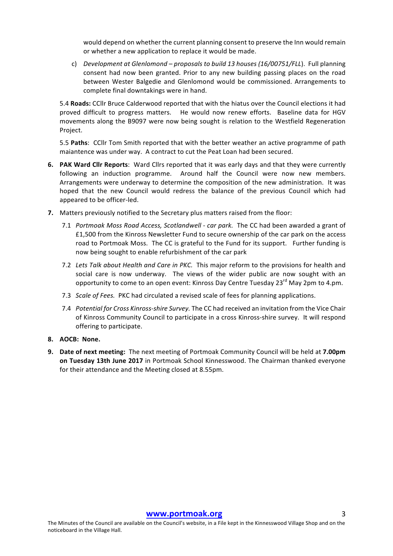would depend on whether the current planning consent to preserve the Inn would remain or whether a new application to replace it would be made.

c) *Development at Glenlomond* – *proposals to build 13 houses (16/00751/FLL*). Full planning consent had now been granted. Prior to any new building passing places on the road between Wester Balgedie and Glenlomond would be commissioned. Arrangements to complete final downtakings were in hand.

5.4 **Roads:** CCllr Bruce Calderwood reported that with the hiatus over the Council elections it had proved difficult to progress matters. He would now renew efforts. Baseline data for HGV movements along the B9097 were now being sought is relation to the Westfield Regeneration Project.

5.5 **Paths**: CCllr Tom Smith reported that with the better weather an active programme of path maiantence was under way. A contract to cut the Peat Loan had been secured.

- **6. PAK Ward Cllr Reports**: Ward Cllrs reported that it was early days and that they were currently following an induction programme. Around half the Council were now new members. Arrangements were underway to determine the composition of the new administration. It was hoped that the new Council would redress the balance of the previous Council which had appeared to be officer-led.
- **7.** Matters previously notified to the Secretary plus matters raised from the floor:
	- 7.1 *Portmoak Moss Road Access, Scotlandwell car park.* The CC had been awarded a grant of £1,500 from the Kinross Newsletter Fund to secure ownership of the car park on the access road to Portmoak Moss. The CC is grateful to the Fund for its support. Further funding is now being sought to enable refurbishment of the car park
	- 7.2 Lets Talk about Health and Care in PKC. This major reform to the provisions for health and social care is now underway. The views of the wider public are now sought with an opportunity to come to an open event: Kinross Day Centre Tuesday  $23^{rd}$  May 2pm to 4.pm.
	- 7.3 *Scale of Fees.* PKC had circulated a revised scale of fees for planning applications.
	- 7.4 *Potential for Cross Kinross-shire Survey*. The CC had received an invitation from the Vice Chair of Kinross Community Council to participate in a cross Kinross-shire survey. It will respond offering to participate.

#### **8. AOCB: None.**

**9. Date of next meeting:** The next meeting of Portmoak Community Council will be held at **7.00pm on Tuesday 13th June 2017** in Portmoak School Kinnesswood. The Chairman thanked everyone for their attendance and the Meeting closed at 8.55pm.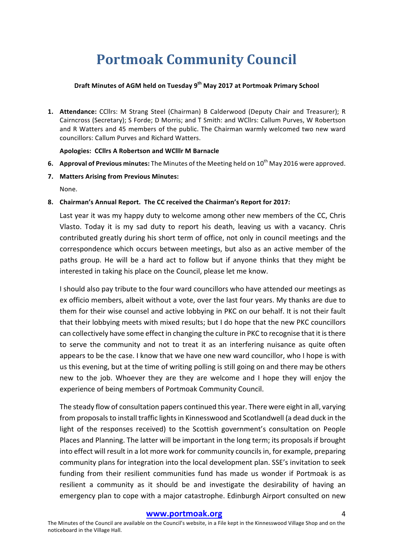# **Portmoak Community Council**

#### **Draft Minutes of AGM held on Tuesday 9<sup>th</sup> May 2017 at Portmoak Primary School**

**1. Attendance:** CCllrs: M Strang Steel (Chairman) B Calderwood (Deputy Chair and Treasurer); R Cairncross (Secretary); S Forde; D Morris; and T Smith: and WCllrs: Callum Purves, W Robertson and R Watters and 45 members of the public. The Chairman warmly welcomed two new ward councillors: Callum Purves and Richard Watters. 

#### **Apologies: CCllrs A Robertson and WClllr M Barnacle**

- **6. Approval of Previous minutes:** The Minutes of the Meeting held on 10<sup>th</sup> May 2016 were approved.
- **7. Matters Arising from Previous Minutes:**

None.

**8. Chairman's Annual Report. The CC received the Chairman's Report for 2017:**

Last year it was my happy duty to welcome among other new members of the CC, Chris Vlasto. Today it is my sad duty to report his death, leaving us with a vacancy. Chris contributed greatly during his short term of office, not only in council meetings and the correspondence which occurs between meetings, but also as an active member of the paths group. He will be a hard act to follow but if anyone thinks that they might be interested in taking his place on the Council, please let me know.

I should also pay tribute to the four ward councillors who have attended our meetings as ex officio members, albeit without a vote, over the last four years. My thanks are due to them for their wise counsel and active lobbying in PKC on our behalf. It is not their fault that their lobbying meets with mixed results; but I do hope that the new PKC councillors can collectively have some effect in changing the culture in PKC to recognise that it is there to serve the community and not to treat it as an interfering nuisance as quite often appears to be the case. I know that we have one new ward councillor, who I hope is with us this evening, but at the time of writing polling is still going on and there may be others new to the job. Whoever they are they are welcome and I hope they will enjoy the experience of being members of Portmoak Community Council.

The steady flow of consultation papers continued this year. There were eight in all, varying from proposals to install traffic lights in Kinnesswood and Scotlandwell (a dead duck in the light of the responses received) to the Scottish government's consultation on People Places and Planning. The latter will be important in the long term; its proposals if brought into effect will result in a lot more work for community councils in, for example, preparing community plans for integration into the local development plan. SSE's invitation to seek funding from their resilient communities fund has made us wonder if Portmoak is as resilient a community as it should be and investigate the desirability of having an emergency plan to cope with a major catastrophe. Edinburgh Airport consulted on new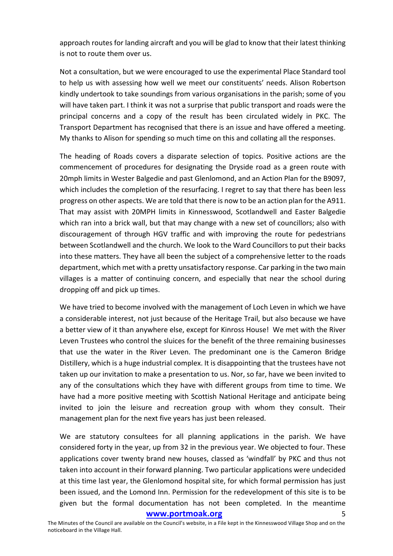approach routes for landing aircraft and you will be glad to know that their latest thinking is not to route them over us.

Not a consultation, but we were encouraged to use the experimental Place Standard tool to help us with assessing how well we meet our constituents' needs. Alison Robertson kindly undertook to take soundings from various organisations in the parish; some of you will have taken part. I think it was not a surprise that public transport and roads were the principal concerns and a copy of the result has been circulated widely in PKC. The Transport Department has recognised that there is an issue and have offered a meeting. My thanks to Alison for spending so much time on this and collating all the responses.

The heading of Roads covers a disparate selection of topics. Positive actions are the commencement of procedures for designating the Dryside road as a green route with 20mph limits in Wester Balgedie and past Glenlomond, and an Action Plan for the B9097, which includes the completion of the resurfacing. I regret to say that there has been less progress on other aspects. We are told that there is now to be an action plan for the A911. That may assist with 20MPH limits in Kinnesswood, Scotlandwell and Easter Balgedie which ran into a brick wall, but that may change with a new set of councillors; also with discouragement of through HGV traffic and with improving the route for pedestrians between Scotlandwell and the church. We look to the Ward Councillors to put their backs into these matters. They have all been the subject of a comprehensive letter to the roads department, which met with a pretty unsatisfactory response. Car parking in the two main villages is a matter of continuing concern, and especially that near the school during dropping off and pick up times.

We have tried to become involved with the management of Loch Leven in which we have a considerable interest, not just because of the Heritage Trail, but also because we have a better view of it than anywhere else, except for Kinross House! We met with the River Leven Trustees who control the sluices for the benefit of the three remaining businesses that use the water in the River Leven. The predominant one is the Cameron Bridge Distillery, which is a huge industrial complex. It is disappointing that the trustees have not taken up our invitation to make a presentation to us. Nor, so far, have we been invited to any of the consultations which they have with different groups from time to time. We have had a more positive meeting with Scottish National Heritage and anticipate being invited to join the leisure and recreation group with whom they consult. Their management plan for the next five years has just been released.

We are statutory consultees for all planning applications in the parish. We have considered forty in the year, up from 32 in the previous year. We objected to four. These applications cover twenty brand new houses, classed as 'windfall' by PKC and thus not taken into account in their forward planning. Two particular applications were undecided at this time last year, the Glenlomond hospital site, for which formal permission has just been issued, and the Lomond Inn. Permission for the redevelopment of this site is to be given but the formal documentation has not been completed. In the meantime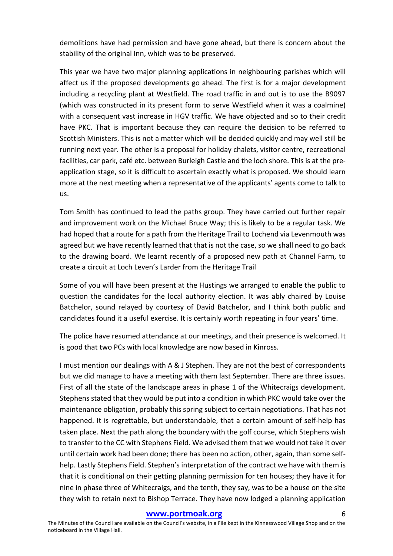demolitions have had permission and have gone ahead, but there is concern about the stability of the original Inn, which was to be preserved.

This year we have two major planning applications in neighbouring parishes which will affect us if the proposed developments go ahead. The first is for a major development including a recycling plant at Westfield. The road traffic in and out is to use the B9097 (which was constructed in its present form to serve Westfield when it was a coalmine) with a consequent vast increase in HGV traffic. We have objected and so to their credit have PKC. That is important because they can require the decision to be referred to Scottish Ministers. This is not a matter which will be decided quickly and may well still be running next vear. The other is a proposal for holiday chalets, visitor centre, recreational facilities, car park, café etc. between Burleigh Castle and the loch shore. This is at the preapplication stage, so it is difficult to ascertain exactly what is proposed. We should learn more at the next meeting when a representative of the applicants' agents come to talk to us.

Tom Smith has continued to lead the paths group. They have carried out further repair and improvement work on the Michael Bruce Way; this is likely to be a regular task. We had hoped that a route for a path from the Heritage Trail to Lochend via Levenmouth was agreed but we have recently learned that that is not the case, so we shall need to go back to the drawing board. We learnt recently of a proposed new path at Channel Farm, to create a circuit at Loch Leven's Larder from the Heritage Trail

Some of you will have been present at the Hustings we arranged to enable the public to question the candidates for the local authority election. It was ably chaired by Louise Batchelor, sound relayed by courtesy of David Batchelor, and I think both public and candidates found it a useful exercise. It is certainly worth repeating in four years' time.

The police have resumed attendance at our meetings, and their presence is welcomed. It is good that two PCs with local knowledge are now based in Kinross.

I must mention our dealings with A & J Stephen. They are not the best of correspondents but we did manage to have a meeting with them last September. There are three issues. First of all the state of the landscape areas in phase 1 of the Whitecraigs development. Stephens stated that they would be put into a condition in which PKC would take over the maintenance obligation, probably this spring subject to certain negotiations. That has not happened. It is regrettable, but understandable, that a certain amount of self-help has taken place. Next the path along the boundary with the golf course, which Stephens wish to transfer to the CC with Stephens Field. We advised them that we would not take it over until certain work had been done; there has been no action, other, again, than some selfhelp. Lastly Stephens Field. Stephen's interpretation of the contract we have with them is that it is conditional on their getting planning permission for ten houses; they have it for nine in phase three of Whitecraigs, and the tenth, they say, was to be a house on the site they wish to retain next to Bishop Terrace. They have now lodged a planning application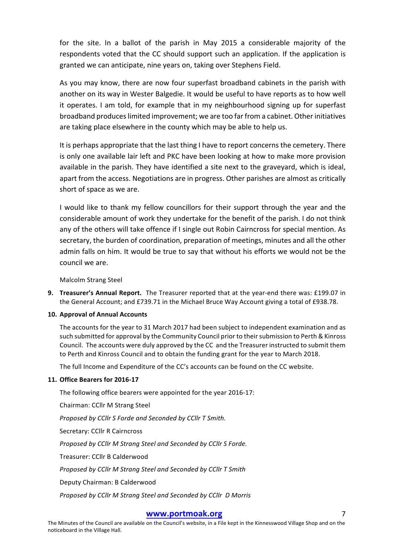for the site. In a ballot of the parish in May 2015 a considerable majority of the respondents voted that the CC should support such an application. If the application is granted we can anticipate, nine years on, taking over Stephens Field.

As you may know, there are now four superfast broadband cabinets in the parish with another on its way in Wester Balgedie. It would be useful to have reports as to how well it operates. I am told, for example that in my neighbourhood signing up for superfast broadband produces limited improvement; we are too far from a cabinet. Other initiatives are taking place elsewhere in the county which may be able to help us.

It is perhaps appropriate that the last thing I have to report concerns the cemetery. There is only one available lair left and PKC have been looking at how to make more provision available in the parish. They have identified a site next to the graveyard, which is ideal, apart from the access. Negotiations are in progress. Other parishes are almost as critically short of space as we are.

I would like to thank my fellow councillors for their support through the year and the considerable amount of work they undertake for the benefit of the parish. I do not think any of the others will take offence if I single out Robin Cairncross for special mention. As secretary, the burden of coordination, preparation of meetings, minutes and all the other admin falls on him. It would be true to say that without his efforts we would not be the council we are.

Malcolm Strang Steel

**9.** Treasurer's Annual Report. The Treasurer reported that at the year-end there was: £199.07 in the General Account; and £739.71 in the Michael Bruce Way Account giving a total of £938.78.

#### **10. Approval of Annual Accounts**

The accounts for the year to 31 March 2017 had been subject to independent examination and as such submitted for approval by the Community Council prior to their submission to Perth & Kinross Council. The accounts were duly approved by the CC and the Treasurer instructed to submit them to Perth and Kinross Council and to obtain the funding grant for the year to March 2018.

The full Income and Expenditure of the CC's accounts can be found on the CC website.

#### **11. Office Bearers for 2016-17**

The following office bearers were appointed for the year  $2016-17$ :

Chairman: CCllr M Strang Steel

Proposed by CCllr S Forde and Seconded by CCllr T Smith.

Secretary: CCllr R Cairncross

*Proposed by CCllr M Strang Steel and Seconded by CCllr S Forde.*

Treasurer: CCllr B Calderwood

*Proposed by CCllr M Strang Steel and Seconded by CCllr T Smith*

Deputy Chairman: B Calderwood

*Proposed by CCllr M Strang Steel and Seconded by CCllr D Morris*